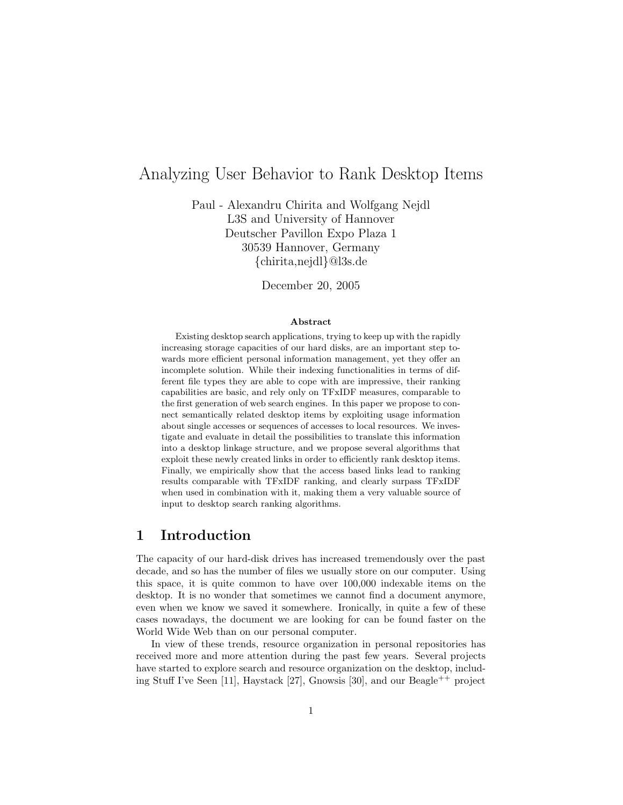# Analyzing User Behavior to Rank Desktop Items

Paul - Alexandru Chirita and Wolfgang Nejdl L3S and University of Hannover Deutscher Pavillon Expo Plaza 1 30539 Hannover, Germany {chirita,nejdl}@l3s.de

December 20, 2005

#### Abstract

Existing desktop search applications, trying to keep up with the rapidly increasing storage capacities of our hard disks, are an important step towards more efficient personal information management, yet they offer an incomplete solution. While their indexing functionalities in terms of different file types they are able to cope with are impressive, their ranking capabilities are basic, and rely only on TFxIDF measures, comparable to the first generation of web search engines. In this paper we propose to connect semantically related desktop items by exploiting usage information about single accesses or sequences of accesses to local resources. We investigate and evaluate in detail the possibilities to translate this information into a desktop linkage structure, and we propose several algorithms that exploit these newly created links in order to efficiently rank desktop items. Finally, we empirically show that the access based links lead to ranking results comparable with TFxIDF ranking, and clearly surpass TFxIDF when used in combination with it, making them a very valuable source of input to desktop search ranking algorithms.

### 1 Introduction

The capacity of our hard-disk drives has increased tremendously over the past decade, and so has the number of files we usually store on our computer. Using this space, it is quite common to have over 100,000 indexable items on the desktop. It is no wonder that sometimes we cannot find a document anymore, even when we know we saved it somewhere. Ironically, in quite a few of these cases nowadays, the document we are looking for can be found faster on the World Wide Web than on our personal computer.

In view of these trends, resource organization in personal repositories has received more and more attention during the past few years. Several projects have started to explore search and resource organization on the desktop, including Stuff I've Seen [11], Haystack [27], Gnowsis [30], and our Beagle<sup>++</sup> project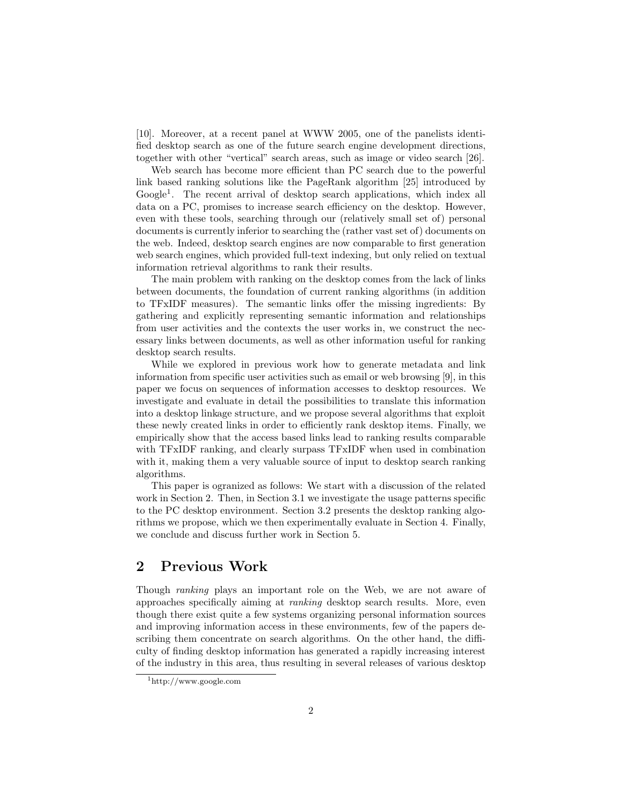[10]. Moreover, at a recent panel at WWW 2005, one of the panelists identified desktop search as one of the future search engine development directions, together with other "vertical" search areas, such as image or video search [26].

Web search has become more efficient than PC search due to the powerful link based ranking solutions like the PageRank algorithm [25] introduced by Google<sup>1</sup>. The recent arrival of desktop search applications, which index all data on a PC, promises to increase search efficiency on the desktop. However, even with these tools, searching through our (relatively small set of) personal documents is currently inferior to searching the (rather vast set of) documents on the web. Indeed, desktop search engines are now comparable to first generation web search engines, which provided full-text indexing, but only relied on textual information retrieval algorithms to rank their results.

The main problem with ranking on the desktop comes from the lack of links between documents, the foundation of current ranking algorithms (in addition to TFxIDF measures). The semantic links offer the missing ingredients: By gathering and explicitly representing semantic information and relationships from user activities and the contexts the user works in, we construct the necessary links between documents, as well as other information useful for ranking desktop search results.

While we explored in previous work how to generate metadata and link information from specific user activities such as email or web browsing [9], in this paper we focus on sequences of information accesses to desktop resources. We investigate and evaluate in detail the possibilities to translate this information into a desktop linkage structure, and we propose several algorithms that exploit these newly created links in order to efficiently rank desktop items. Finally, we empirically show that the access based links lead to ranking results comparable with TFxIDF ranking, and clearly surpass TFxIDF when used in combination with it, making them a very valuable source of input to desktop search ranking algorithms.

This paper is ogranized as follows: We start with a discussion of the related work in Section 2. Then, in Section 3.1 we investigate the usage patterns specific to the PC desktop environment. Section 3.2 presents the desktop ranking algorithms we propose, which we then experimentally evaluate in Section 4. Finally, we conclude and discuss further work in Section 5.

## 2 Previous Work

Though ranking plays an important role on the Web, we are not aware of approaches specifically aiming at ranking desktop search results. More, even though there exist quite a few systems organizing personal information sources and improving information access in these environments, few of the papers describing them concentrate on search algorithms. On the other hand, the difficulty of finding desktop information has generated a rapidly increasing interest of the industry in this area, thus resulting in several releases of various desktop

<sup>1</sup>http://www.google.com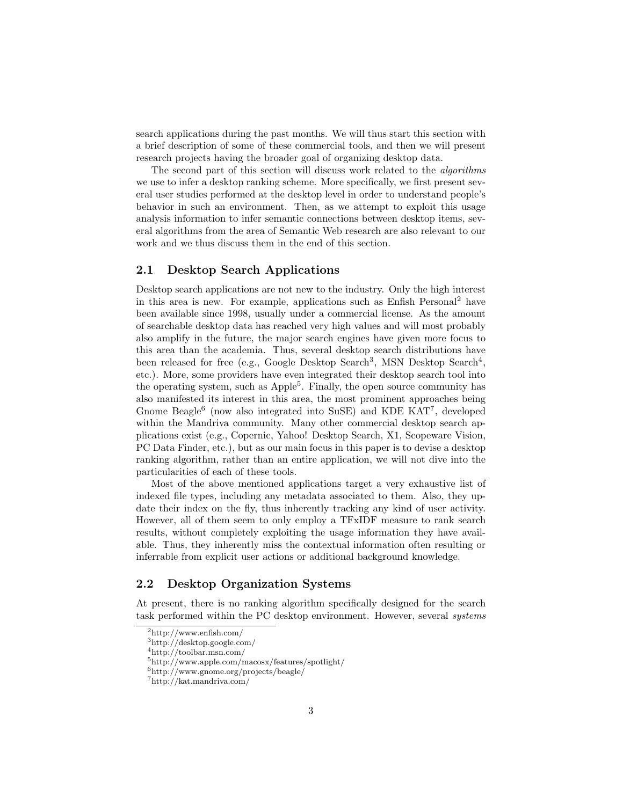search applications during the past months. We will thus start this section with a brief description of some of these commercial tools, and then we will present research projects having the broader goal of organizing desktop data.

The second part of this section will discuss work related to the algorithms we use to infer a desktop ranking scheme. More specifically, we first present several user studies performed at the desktop level in order to understand people's behavior in such an environment. Then, as we attempt to exploit this usage analysis information to infer semantic connections between desktop items, several algorithms from the area of Semantic Web research are also relevant to our work and we thus discuss them in the end of this section.

#### 2.1 Desktop Search Applications

Desktop search applications are not new to the industry. Only the high interest in this area is new. For example, applications such as Enfish Personal<sup>2</sup> have been available since 1998, usually under a commercial license. As the amount of searchable desktop data has reached very high values and will most probably also amplify in the future, the major search engines have given more focus to this area than the academia. Thus, several desktop search distributions have been released for free (e.g., Google Desktop Search<sup>3</sup>, MSN Desktop Search<sup>4</sup>, etc.). More, some providers have even integrated their desktop search tool into the operating system, such as Apple<sup>5</sup>. Finally, the open source community has also manifested its interest in this area, the most prominent approaches being Gnome Beagle<sup>6</sup> (now also integrated into SuSE) and KDE KAT<sup>7</sup>, developed within the Mandriva community. Many other commercial desktop search applications exist (e.g., Copernic, Yahoo! Desktop Search, X1, Scopeware Vision, PC Data Finder, etc.), but as our main focus in this paper is to devise a desktop ranking algorithm, rather than an entire application, we will not dive into the particularities of each of these tools.

Most of the above mentioned applications target a very exhaustive list of indexed file types, including any metadata associated to them. Also, they update their index on the fly, thus inherently tracking any kind of user activity. However, all of them seem to only employ a TFxIDF measure to rank search results, without completely exploiting the usage information they have available. Thus, they inherently miss the contextual information often resulting or inferrable from explicit user actions or additional background knowledge.

### 2.2 Desktop Organization Systems

At present, there is no ranking algorithm specifically designed for the search task performed within the PC desktop environment. However, several systems

<sup>2</sup>http://www.enfish.com/

<sup>3</sup>http://desktop.google.com/

<sup>4</sup>http://toolbar.msn.com/

 $5\mathrm{http://www.apple.com/macosx/features/spotlight/}$ 

<sup>6</sup>http://www.gnome.org/projects/beagle/

<sup>7</sup>http://kat.mandriva.com/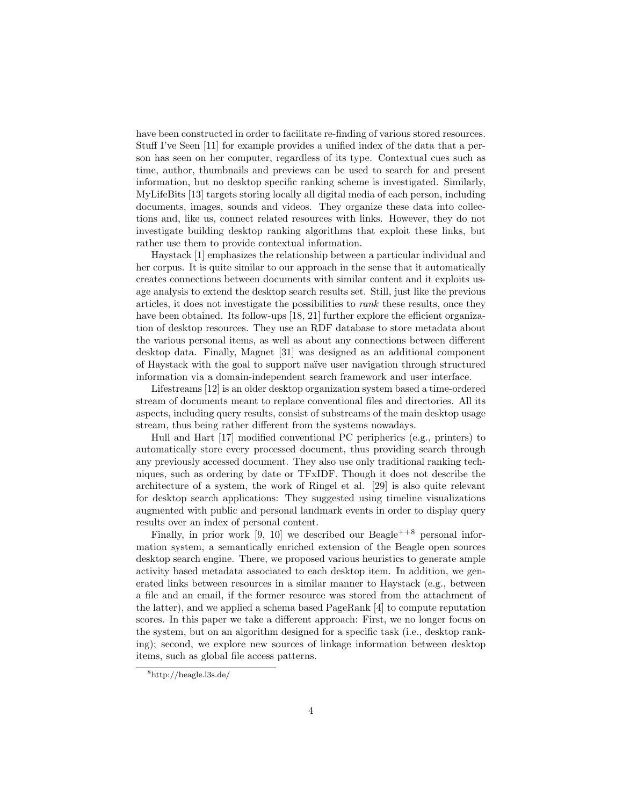have been constructed in order to facilitate re-finding of various stored resources. Stuff I've Seen [11] for example provides a unified index of the data that a person has seen on her computer, regardless of its type. Contextual cues such as time, author, thumbnails and previews can be used to search for and present information, but no desktop specific ranking scheme is investigated. Similarly, MyLifeBits [13] targets storing locally all digital media of each person, including documents, images, sounds and videos. They organize these data into collections and, like us, connect related resources with links. However, they do not investigate building desktop ranking algorithms that exploit these links, but rather use them to provide contextual information.

Haystack [1] emphasizes the relationship between a particular individual and her corpus. It is quite similar to our approach in the sense that it automatically creates connections between documents with similar content and it exploits usage analysis to extend the desktop search results set. Still, just like the previous articles, it does not investigate the possibilities to rank these results, once they have been obtained. Its follow-ups [18, 21] further explore the efficient organization of desktop resources. They use an RDF database to store metadata about the various personal items, as well as about any connections between different desktop data. Finally, Magnet [31] was designed as an additional component of Haystack with the goal to support na¨ıve user navigation through structured information via a domain-independent search framework and user interface.

Lifestreams [12] is an older desktop organization system based a time-ordered stream of documents meant to replace conventional files and directories. All its aspects, including query results, consist of substreams of the main desktop usage stream, thus being rather different from the systems nowadays.

Hull and Hart [17] modified conventional PC peripherics (e.g., printers) to automatically store every processed document, thus providing search through any previously accessed document. They also use only traditional ranking techniques, such as ordering by date or TFxIDF. Though it does not describe the architecture of a system, the work of Ringel et al. [29] is also quite relevant for desktop search applications: They suggested using timeline visualizations augmented with public and personal landmark events in order to display query results over an index of personal content.

Finally, in prior work [9, 10] we described our Beagle<sup> $++8$ </sup> personal information system, a semantically enriched extension of the Beagle open sources desktop search engine. There, we proposed various heuristics to generate ample activity based metadata associated to each desktop item. In addition, we generated links between resources in a similar manner to Haystack (e.g., between a file and an email, if the former resource was stored from the attachment of the latter), and we applied a schema based PageRank [4] to compute reputation scores. In this paper we take a different approach: First, we no longer focus on the system, but on an algorithm designed for a specific task (i.e., desktop ranking); second, we explore new sources of linkage information between desktop items, such as global file access patterns.

<sup>8</sup>http://beagle.l3s.de/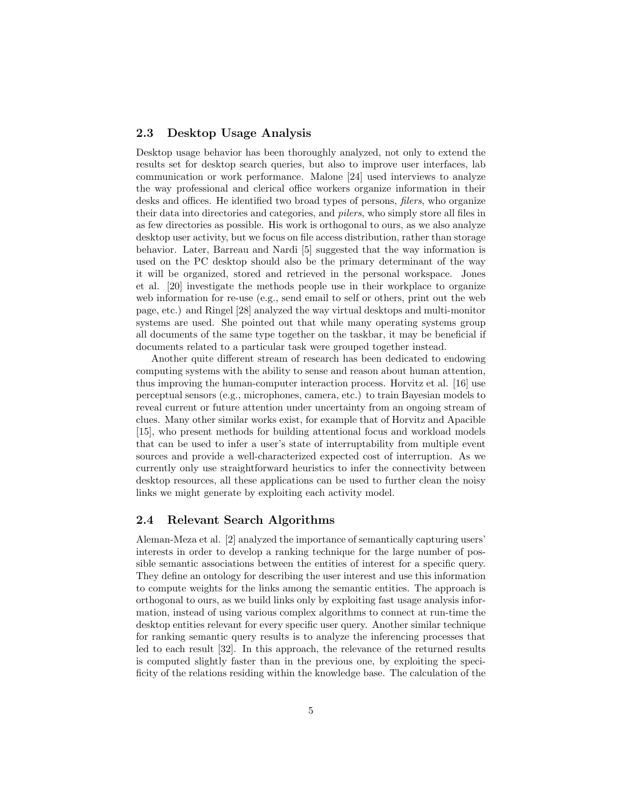#### 2.3 Desktop Usage Analysis

Desktop usage behavior has been thoroughly analyzed, not only to extend the results set for desktop search queries, but also to improve user interfaces, lab communication or work performance. Malone [24] used interviews to analyze the way professional and clerical office workers organize information in their desks and offices. He identified two broad types of persons, filers, who organize their data into directories and categories, and pilers, who simply store all files in as few directories as possible. His work is orthogonal to ours, as we also analyze desktop user activity, but we focus on file access distribution, rather than storage behavior. Later, Barreau and Nardi [5] suggested that the way information is used on the PC desktop should also be the primary determinant of the way it will be organized, stored and retrieved in the personal workspace. Jones et al. [20] investigate the methods people use in their workplace to organize web information for re-use (e.g., send email to self or others, print out the web page, etc.) and Ringel [28] analyzed the way virtual desktops and multi-monitor systems are used. She pointed out that while many operating systems group all documents of the same type together on the taskbar, it may be beneficial if documents related to a particular task were grouped together instead.

Another quite different stream of research has been dedicated to endowing computing systems with the ability to sense and reason about human attention, thus improving the human-computer interaction process. Horvitz et al. [16] use perceptual sensors (e.g., microphones, camera, etc.) to train Bayesian models to reveal current or future attention under uncertainty from an ongoing stream of clues. Many other similar works exist, for example that of Horvitz and Apacible [15], who present methods for building attentional focus and workload models that can be used to infer a user's state of interruptability from multiple event sources and provide a well-characterized expected cost of interruption. As we currently only use straightforward heuristics to infer the connectivity between desktop resources, all these applications can be used to further clean the noisy links we might generate by exploiting each activity model.

#### 2.4 Relevant Search Algorithms

Aleman-Meza et al. [2] analyzed the importance of semantically capturing users' interests in order to develop a ranking technique for the large number of possible semantic associations between the entities of interest for a specific query. They define an ontology for describing the user interest and use this information to compute weights for the links among the semantic entities. The approach is orthogonal to ours, as we build links only by exploiting fast usage analysis information, instead of using various complex algorithms to connect at run-time the desktop entities relevant for every specific user query. Another similar technique for ranking semantic query results is to analyze the inferencing processes that led to each result [32]. In this approach, the relevance of the returned results is computed slightly faster than in the previous one, by exploiting the specificity of the relations residing within the knowledge base. The calculation of the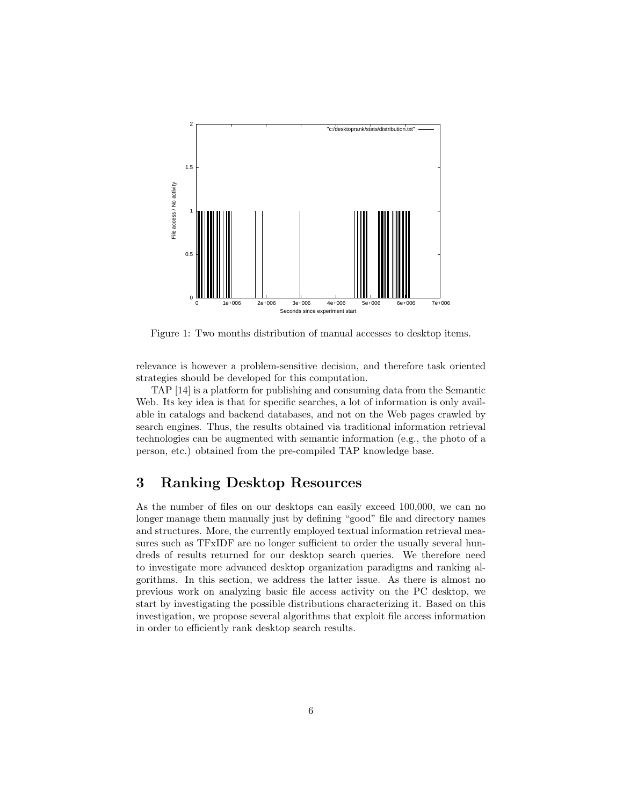

Figure 1: Two months distribution of manual accesses to desktop items.

relevance is however a problem-sensitive decision, and therefore task oriented strategies should be developed for this computation.

TAP [14] is a platform for publishing and consuming data from the Semantic Web. Its key idea is that for specific searches, a lot of information is only available in catalogs and backend databases, and not on the Web pages crawled by search engines. Thus, the results obtained via traditional information retrieval technologies can be augmented with semantic information (e.g., the photo of a person, etc.) obtained from the pre-compiled TAP knowledge base.

## 3 Ranking Desktop Resources

As the number of files on our desktops can easily exceed 100,000, we can no longer manage them manually just by defining "good" file and directory names and structures. More, the currently employed textual information retrieval measures such as TFxIDF are no longer sufficient to order the usually several hundreds of results returned for our desktop search queries. We therefore need to investigate more advanced desktop organization paradigms and ranking algorithms. In this section, we address the latter issue. As there is almost no previous work on analyzing basic file access activity on the PC desktop, we start by investigating the possible distributions characterizing it. Based on this investigation, we propose several algorithms that exploit file access information in order to efficiently rank desktop search results.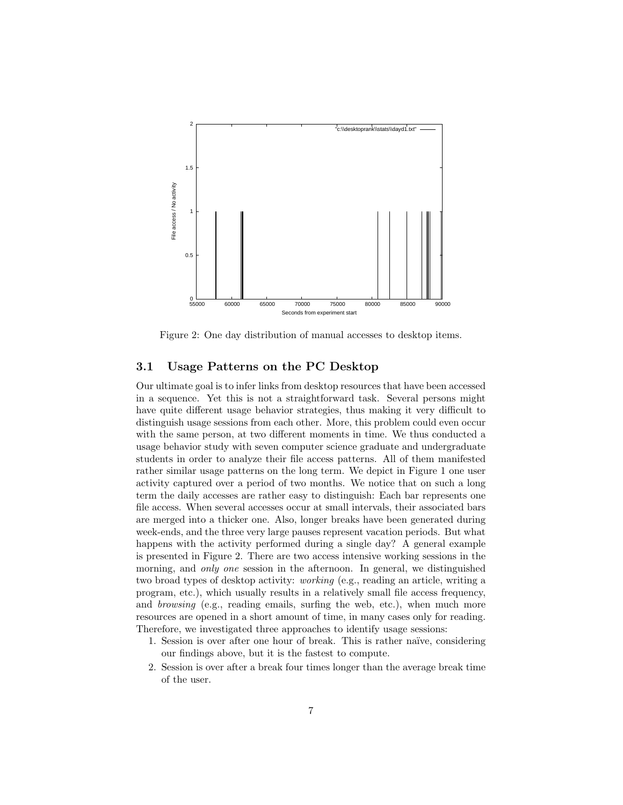

Figure 2: One day distribution of manual accesses to desktop items.

#### 3.1 Usage Patterns on the PC Desktop

Our ultimate goal is to infer links from desktop resources that have been accessed in a sequence. Yet this is not a straightforward task. Several persons might have quite different usage behavior strategies, thus making it very difficult to distinguish usage sessions from each other. More, this problem could even occur with the same person, at two different moments in time. We thus conducted a usage behavior study with seven computer science graduate and undergraduate students in order to analyze their file access patterns. All of them manifested rather similar usage patterns on the long term. We depict in Figure 1 one user activity captured over a period of two months. We notice that on such a long term the daily accesses are rather easy to distinguish: Each bar represents one file access. When several accesses occur at small intervals, their associated bars are merged into a thicker one. Also, longer breaks have been generated during week-ends, and the three very large pauses represent vacation periods. But what happens with the activity performed during a single day? A general example is presented in Figure 2. There are two access intensive working sessions in the morning, and *only one* session in the afternoon. In general, we distinguished two broad types of desktop activity: working (e.g., reading an article, writing a program, etc.), which usually results in a relatively small file access frequency, and browsing (e.g., reading emails, surfing the web, etc.), when much more resources are opened in a short amount of time, in many cases only for reading. Therefore, we investigated three approaches to identify usage sessions:

- 1. Session is over after one hour of break. This is rather na¨ıve, considering our findings above, but it is the fastest to compute.
- 2. Session is over after a break four times longer than the average break time of the user.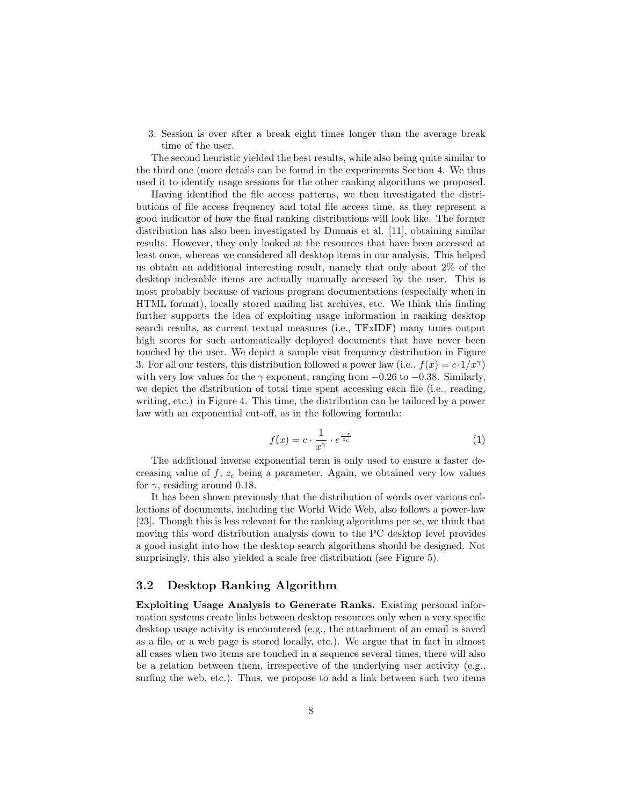3. Session is over after a break eight times longer than the average break time of the user.

The second heuristic yielded the best results, while also being quite similar to the third one (more details can be found in the experiments Section 4. We thus used it to identify usage sessions for the other ranking algorithms we proposed.

Having identified the file access patterns, we then investigated the distributions of file access frequency and total file access time, as they represent a good indicator of how the final ranking distributions will look like. The former distribution has also been investigated by Dumais et al. [11], obtaining similar results. However, they only looked at the resources that have been accessed at least once, whereas we considered all desktop items in our analysis. This helped us obtain an additional interesting result, namely that only about 2% of the desktop indexable items are actually manually accessed by the user. This is most probably because of various program documentations (especially when in HTML format), locally stored mailing list archives, etc. We think this finding further supports the idea of exploiting usage information in ranking desktop search results, as current textual measures (i.e., TFxIDF) many times output high scores for such automatically deployed documents that have never been touched by the user. We depict a sample visit frequency distribution in Figure 3. For all our testers, this distribution followed a power law (i.e.,  $f(x) = c \cdot 1/x^{\gamma}$ ) with very low values for the  $\gamma$  exponent, ranging from  $-0.26$  to  $-0.38$ . Similarly, we depict the distribution of total time spent accessing each file (i.e., reading, writing, etc.) in Figure 4. This time, the distribution can be tailored by a power law with an exponential cut-off, as in the following formula:

$$
f(x) = c \cdot \frac{1}{x^{\gamma}} \cdot e^{\frac{-x}{z_c}}
$$
 (1)

The additional inverse exponential term is only used to ensure a faster decreasing value of  $f$ ,  $z_c$  being a parameter. Again, we obtained very low values for  $\gamma$ , residing around 0.18.

It has been shown previously that the distribution of words over various collections of documents, including the World Wide Web, also follows a power-law [23]. Though this is less relevant for the ranking algorithms per se, we think that moving this word distribution analysis down to the PC desktop level provides a good insight into how the desktop search algorithms should be designed. Not surprisingly, this also yielded a scale free distribution (see Figure 5).

#### 3.2 Desktop Ranking Algorithm

Exploiting Usage Analysis to Generate Ranks. Existing personal information systems create links between desktop resources only when a very specific desktop usage activity is encountered (e.g., the attachment of an email is saved as a file, or a web page is stored locally, etc.). We argue that in fact in almost all cases when two items are touched in a sequence several times, there will also be a relation between them, irrespective of the underlying user activity (e.g., surfing the web, etc.). Thus, we propose to add a link between such two items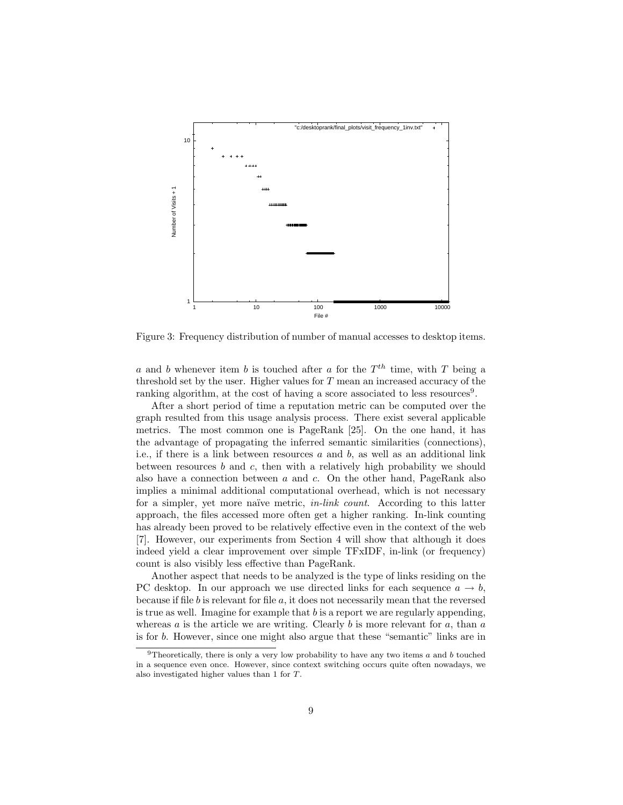

Figure 3: Frequency distribution of number of manual accesses to desktop items.

a and b whenever item b is touched after a for the  $T<sup>th</sup>$  time, with T being a threshold set by the user. Higher values for  $T$  mean an increased accuracy of the ranking algorithm, at the cost of having a score associated to less resources<sup>9</sup>.

After a short period of time a reputation metric can be computed over the graph resulted from this usage analysis process. There exist several applicable metrics. The most common one is PageRank [25]. On the one hand, it has the advantage of propagating the inferred semantic similarities (connections), i.e., if there is a link between resources  $a$  and  $b$ , as well as an additional link between resources b and c, then with a relatively high probability we should also have a connection between  $a$  and  $c$ . On the other hand, PageRank also implies a minimal additional computational overhead, which is not necessary for a simpler, yet more naïve metric, *in-link count*. According to this latter approach, the files accessed more often get a higher ranking. In-link counting has already been proved to be relatively effective even in the context of the web [7]. However, our experiments from Section 4 will show that although it does indeed yield a clear improvement over simple TFxIDF, in-link (or frequency) count is also visibly less effective than PageRank.

Another aspect that needs to be analyzed is the type of links residing on the PC desktop. In our approach we use directed links for each sequence  $a \rightarrow b$ , because if file b is relevant for file  $a$ , it does not necessarily mean that the reversed is true as well. Imagine for example that  $b$  is a report we are regularly appending, whereas a is the article we are writing. Clearly b is more relevant for  $a$ , than  $a$ is for b. However, since one might also argue that these "semantic" links are in

<sup>&</sup>lt;sup>9</sup>Theoretically, there is only a very low probability to have any two items  $a$  and  $b$  touched in a sequence even once. However, since context switching occurs quite often nowadays, we also investigated higher values than 1 for T.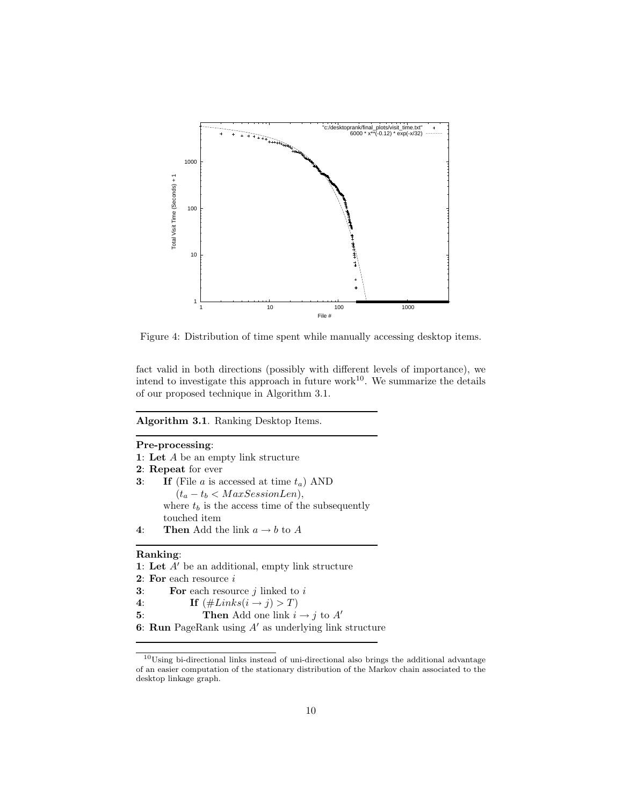

Figure 4: Distribution of time spent while manually accessing desktop items.

fact valid in both directions (possibly with different levels of importance), we intend to investigate this approach in future work<sup>10</sup>. We summarize the details of our proposed technique in Algorithm 3.1.

#### Algorithm 3.1. Ranking Desktop Items.

#### Pre-processing:

- 1: Let A be an empty link structure
- 2: Repeat for ever
- 3: If (File *a* is accessed at time  $t_a$ ) AND  $(t_a - t_b < MaxSessionLen),$ where  $t_b$  is the access time of the subsequently touched item 4: Then Add the link  $a \rightarrow b$  to A

#### Ranking:

1: Let  $A'$  be an additional, empty link structure **2:** For each resource  $i$ 3: For each resource  $j$  linked to  $i$ 4: If  $(\#Links(i \rightarrow j) > T)$ 5: **Then** Add one link  $i \rightarrow j$  to  $A'$ 6: Run PageRank using  $A'$  as underlying link structure

 $10$ Using bi-directional links instead of uni-directional also brings the additional advantage of an easier computation of the stationary distribution of the Markov chain associated to the desktop linkage graph.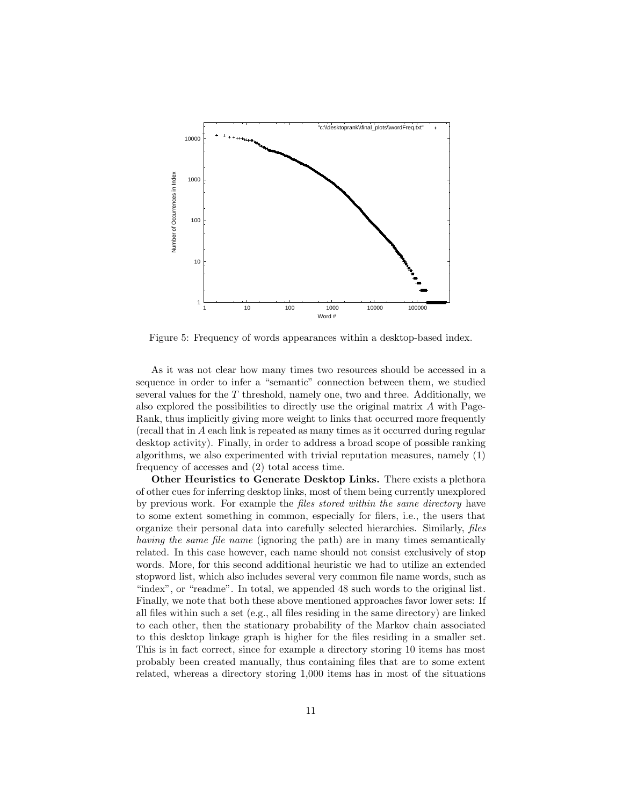

Figure 5: Frequency of words appearances within a desktop-based index.

As it was not clear how many times two resources should be accessed in a sequence in order to infer a "semantic" connection between them, we studied several values for the T threshold, namely one, two and three. Additionally, we also explored the possibilities to directly use the original matrix A with Page-Rank, thus implicitly giving more weight to links that occurred more frequently (recall that in A each link is repeated as many times as it occurred during regular desktop activity). Finally, in order to address a broad scope of possible ranking algorithms, we also experimented with trivial reputation measures, namely (1) frequency of accesses and (2) total access time.

Other Heuristics to Generate Desktop Links. There exists a plethora of other cues for inferring desktop links, most of them being currently unexplored by previous work. For example the files stored within the same directory have to some extent something in common, especially for filers, i.e., the users that organize their personal data into carefully selected hierarchies. Similarly, files having the same file name (ignoring the path) are in many times semantically related. In this case however, each name should not consist exclusively of stop words. More, for this second additional heuristic we had to utilize an extended stopword list, which also includes several very common file name words, such as "index", or "readme". In total, we appended 48 such words to the original list. Finally, we note that both these above mentioned approaches favor lower sets: If all files within such a set (e.g., all files residing in the same directory) are linked to each other, then the stationary probability of the Markov chain associated to this desktop linkage graph is higher for the files residing in a smaller set. This is in fact correct, since for example a directory storing 10 items has most probably been created manually, thus containing files that are to some extent related, whereas a directory storing 1,000 items has in most of the situations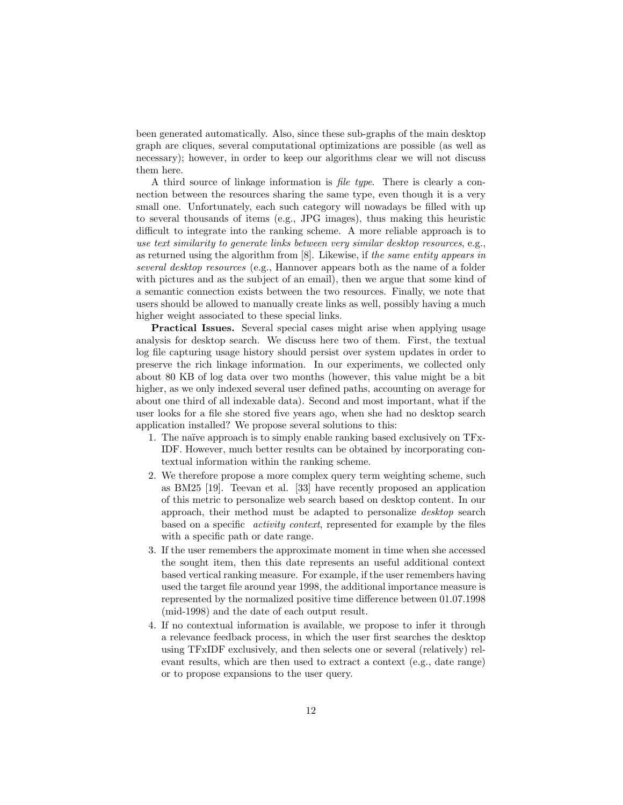been generated automatically. Also, since these sub-graphs of the main desktop graph are cliques, several computational optimizations are possible (as well as necessary); however, in order to keep our algorithms clear we will not discuss them here.

A third source of linkage information is file type. There is clearly a connection between the resources sharing the same type, even though it is a very small one. Unfortunately, each such category will nowadays be filled with up to several thousands of items (e.g., JPG images), thus making this heuristic difficult to integrate into the ranking scheme. A more reliable approach is to use text similarity to generate links between very similar desktop resources, e.g., as returned using the algorithm from [8]. Likewise, if the same entity appears in several desktop resources (e.g., Hannover appears both as the name of a folder with pictures and as the subject of an email), then we argue that some kind of a semantic connection exists between the two resources. Finally, we note that users should be allowed to manually create links as well, possibly having a much higher weight associated to these special links.

Practical Issues. Several special cases might arise when applying usage analysis for desktop search. We discuss here two of them. First, the textual log file capturing usage history should persist over system updates in order to preserve the rich linkage information. In our experiments, we collected only about 80 KB of log data over two months (however, this value might be a bit higher, as we only indexed several user defined paths, accounting on average for about one third of all indexable data). Second and most important, what if the user looks for a file she stored five years ago, when she had no desktop search application installed? We propose several solutions to this:

- 1. The naïve approach is to simply enable ranking based exclusively on TF<sub>x</sub>-IDF. However, much better results can be obtained by incorporating contextual information within the ranking scheme.
- 2. We therefore propose a more complex query term weighting scheme, such as BM25 [19]. Teevan et al. [33] have recently proposed an application of this metric to personalize web search based on desktop content. In our approach, their method must be adapted to personalize desktop search based on a specific activity context, represented for example by the files with a specific path or date range.
- 3. If the user remembers the approximate moment in time when she accessed the sought item, then this date represents an useful additional context based vertical ranking measure. For example, if the user remembers having used the target file around year 1998, the additional importance measure is represented by the normalized positive time difference between 01.07.1998 (mid-1998) and the date of each output result.
- 4. If no contextual information is available, we propose to infer it through a relevance feedback process, in which the user first searches the desktop using TFxIDF exclusively, and then selects one or several (relatively) relevant results, which are then used to extract a context (e.g., date range) or to propose expansions to the user query.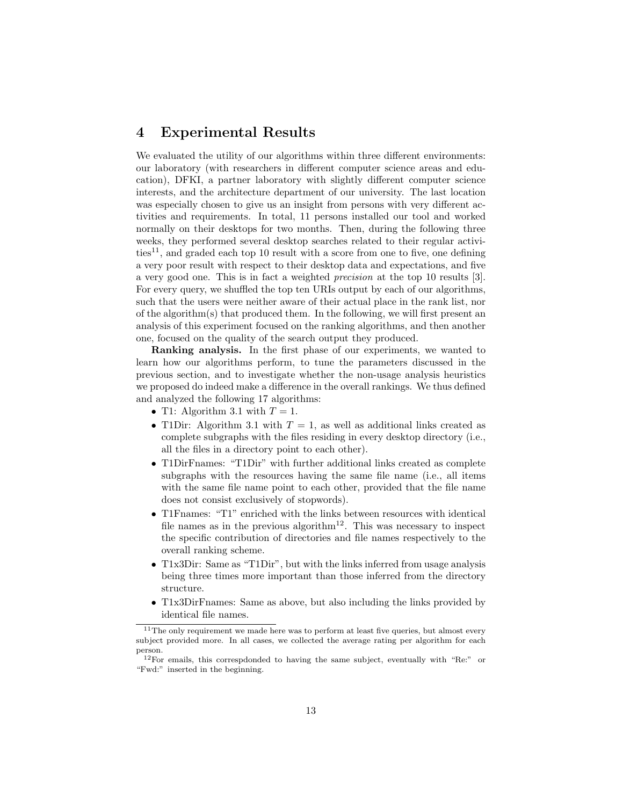### 4 Experimental Results

We evaluated the utility of our algorithms within three different environments: our laboratory (with researchers in different computer science areas and education), DFKI, a partner laboratory with slightly different computer science interests, and the architecture department of our university. The last location was especially chosen to give us an insight from persons with very different activities and requirements. In total, 11 persons installed our tool and worked normally on their desktops for two months. Then, during the following three weeks, they performed several desktop searches related to their regular activities<sup>11</sup>, and graded each top 10 result with a score from one to five, one defining a very poor result with respect to their desktop data and expectations, and five a very good one. This is in fact a weighted precision at the top 10 results [3]. For every query, we shuffled the top ten URIs output by each of our algorithms, such that the users were neither aware of their actual place in the rank list, nor of the algorithm(s) that produced them. In the following, we will first present an analysis of this experiment focused on the ranking algorithms, and then another one, focused on the quality of the search output they produced.

Ranking analysis. In the first phase of our experiments, we wanted to learn how our algorithms perform, to tune the parameters discussed in the previous section, and to investigate whether the non-usage analysis heuristics we proposed do indeed make a difference in the overall rankings. We thus defined and analyzed the following 17 algorithms:

- T1: Algorithm 3.1 with  $T = 1$ .
- T1Dir: Algorithm 3.1 with  $T = 1$ , as well as additional links created as complete subgraphs with the files residing in every desktop directory (i.e., all the files in a directory point to each other).
- T1DirFnames: "T1Dir" with further additional links created as complete subgraphs with the resources having the same file name (i.e., all items with the same file name point to each other, provided that the file name does not consist exclusively of stopwords).
- T1Fnames: "T1" enriched with the links between resources with identical file names as in the previous algorithm<sup>12</sup>. This was necessary to inspect the specific contribution of directories and file names respectively to the overall ranking scheme.
- T1x3Dir: Same as "T1Dir", but with the links inferred from usage analysis being three times more important than those inferred from the directory structure.
- T1x3DirFnames: Same as above, but also including the links provided by identical file names.

 $11$ The only requirement we made here was to perform at least five queries, but almost every subject provided more. In all cases, we collected the average rating per algorithm for each person.

 $12$  For emails, this correspdonded to having the same subject, eventually with "Re:" or "Fwd:" inserted in the beginning.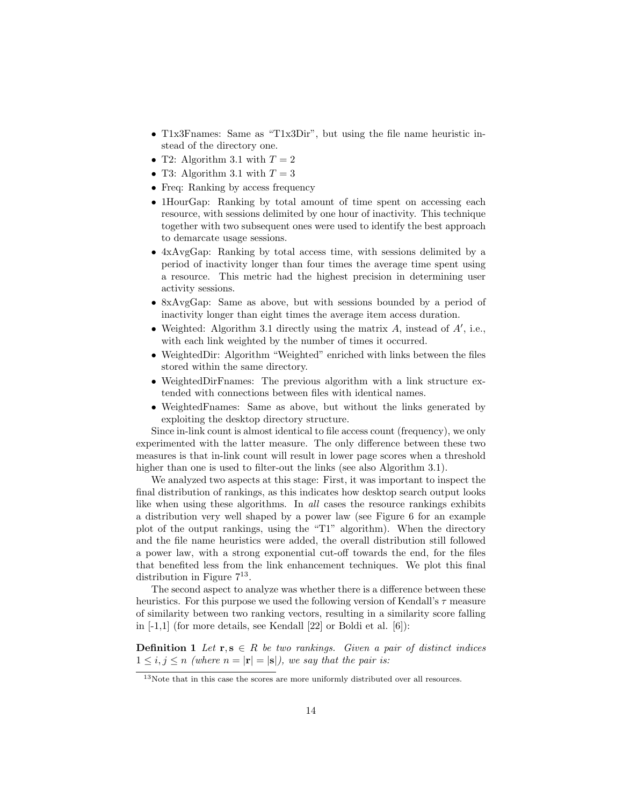- T1x3Fnames: Same as "T1x3Dir", but using the file name heuristic instead of the directory one.
- T2: Algorithm 3.1 with  $T = 2$
- T3: Algorithm 3.1 with  $T = 3$
- Freq: Ranking by access frequency
- 1HourGap: Ranking by total amount of time spent on accessing each resource, with sessions delimited by one hour of inactivity. This technique together with two subsequent ones were used to identify the best approach to demarcate usage sessions.
- 4xAvgGap: Ranking by total access time, with sessions delimited by a period of inactivity longer than four times the average time spent using a resource. This metric had the highest precision in determining user activity sessions.
- 8xAvgGap: Same as above, but with sessions bounded by a period of inactivity longer than eight times the average item access duration.
- Weighted: Algorithm 3.1 directly using the matrix  $A$ , instead of  $A'$ , i.e., with each link weighted by the number of times it occurred.
- WeightedDir: Algorithm "Weighted" enriched with links between the files stored within the same directory.
- WeightedDirFnames: The previous algorithm with a link structure extended with connections between files with identical names.
- WeightedFnames: Same as above, but without the links generated by exploiting the desktop directory structure.

Since in-link count is almost identical to file access count (frequency), we only experimented with the latter measure. The only difference between these two measures is that in-link count will result in lower page scores when a threshold higher than one is used to filter-out the links (see also Algorithm 3.1).

We analyzed two aspects at this stage: First, it was important to inspect the final distribution of rankings, as this indicates how desktop search output looks like when using these algorithms. In all cases the resource rankings exhibits a distribution very well shaped by a power law (see Figure 6 for an example plot of the output rankings, using the "T1" algorithm). When the directory and the file name heuristics were added, the overall distribution still followed a power law, with a strong exponential cut-off towards the end, for the files that benefited less from the link enhancement techniques. We plot this final distribution in Figure  $7^{13}$ .

The second aspect to analyze was whether there is a difference between these heuristics. For this purpose we used the following version of Kendall's  $\tau$  measure of similarity between two ranking vectors, resulting in a similarity score falling in [-1,1] (for more details, see Kendall [22] or Boldi et al. [6]):

**Definition 1** Let  $\mathbf{r}, \mathbf{s} \in R$  be two rankings. Given a pair of distinct indices  $1 \leq i, j \leq n$  (where  $n = |\mathbf{r}| = |\mathbf{s}|$ ), we say that the pair is:

<sup>&</sup>lt;sup>13</sup>Note that in this case the scores are more uniformly distributed over all resources.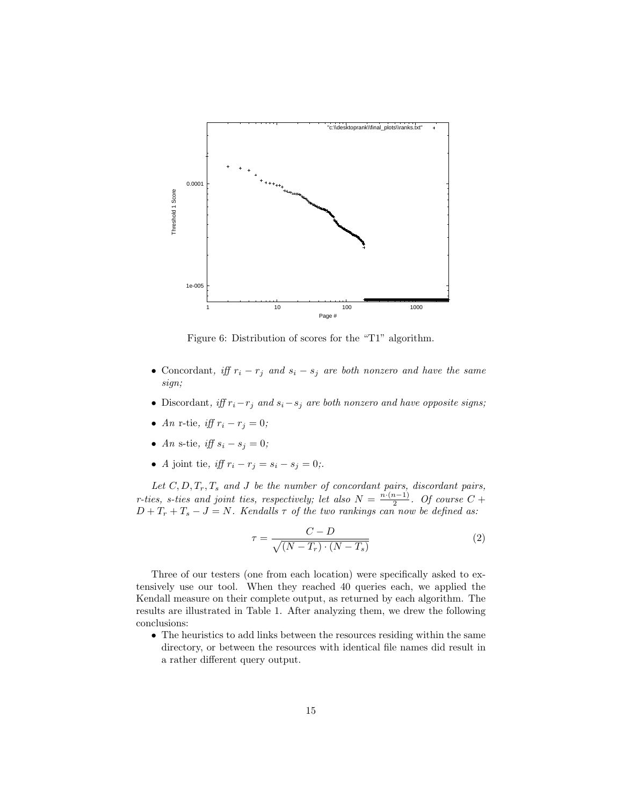

Figure 6: Distribution of scores for the "T1" algorithm.

- Concordant, iff  $r_i r_j$  and  $s_i s_j$  are both nonzero and have the same sign;
- Discordant, iff  $r_i r_j$  and  $s_i s_j$  are both nonzero and have opposite signs;
- An r-tie, iff  $r_i r_j = 0$ ;
- An s-tie, iff  $s_i s_j = 0$ ;
- A joint tie, iff  $r_i r_j = s_i s_j = 0$ ;

 $\tau$ 

Let  $C, D, T_r, T_s$  and J be the number of concordant pairs, discordant pairs, r-ties, s-ties and joint ties, respectively; let also  $N = \frac{n \cdot (n-1)}{2}$  $rac{1}{2}$ . Of course  $C +$  $D + T_r + T_s - J = N$ . Kendalls  $\tau$  of the two rankings can now be defined as:

$$
r = \frac{C - D}{\sqrt{(N - T_r) \cdot (N - T_s)}}
$$
\n(2)

Three of our testers (one from each location) were specifically asked to extensively use our tool. When they reached 40 queries each, we applied the Kendall measure on their complete output, as returned by each algorithm. The results are illustrated in Table 1. After analyzing them, we drew the following conclusions:

• The heuristics to add links between the resources residing within the same directory, or between the resources with identical file names did result in a rather different query output.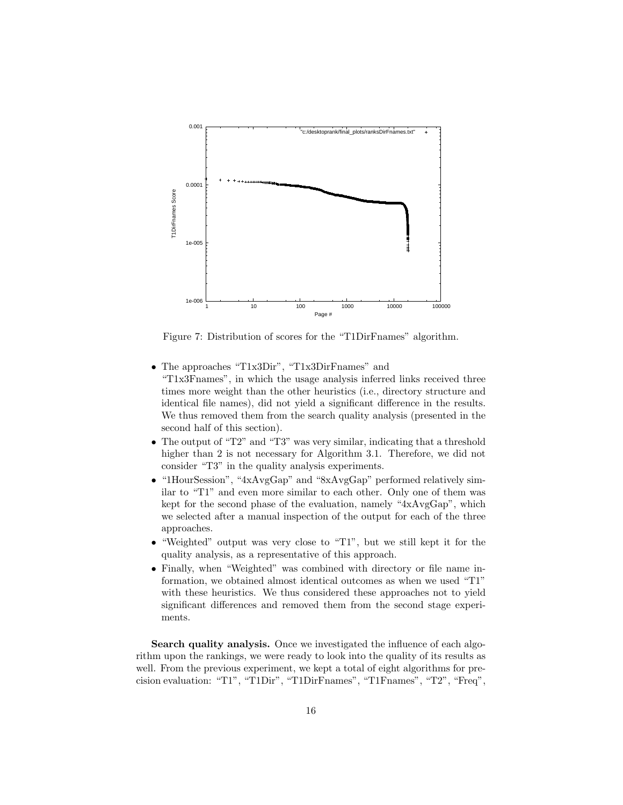

Figure 7: Distribution of scores for the "T1DirFnames" algorithm.

- The approaches "T1x3Dir", "T1x3DirFnames" and "T1x3Fnames", in which the usage analysis inferred links received three times more weight than the other heuristics (i.e., directory structure and identical file names), did not yield a significant difference in the results. We thus removed them from the search quality analysis (presented in the second half of this section).
- The output of "T2" and "T3" was very similar, indicating that a threshold higher than 2 is not necessary for Algorithm 3.1. Therefore, we did not consider "T3" in the quality analysis experiments.
- "HourSession", "4xAvgGap" and "8xAvgGap" performed relatively similar to "T1" and even more similar to each other. Only one of them was kept for the second phase of the evaluation, namely "4xAvgGap", which we selected after a manual inspection of the output for each of the three approaches.
- "Weighted" output was very close to "T1", but we still kept it for the quality analysis, as a representative of this approach.
- Finally, when "Weighted" was combined with directory or file name information, we obtained almost identical outcomes as when we used "T1" with these heuristics. We thus considered these approaches not to yield significant differences and removed them from the second stage experiments.

Search quality analysis. Once we investigated the influence of each algorithm upon the rankings, we were ready to look into the quality of its results as well. From the previous experiment, we kept a total of eight algorithms for precision evaluation: "T1", "T1Dir", "T1DirFnames", "T1Fnames", "T2", "Freq",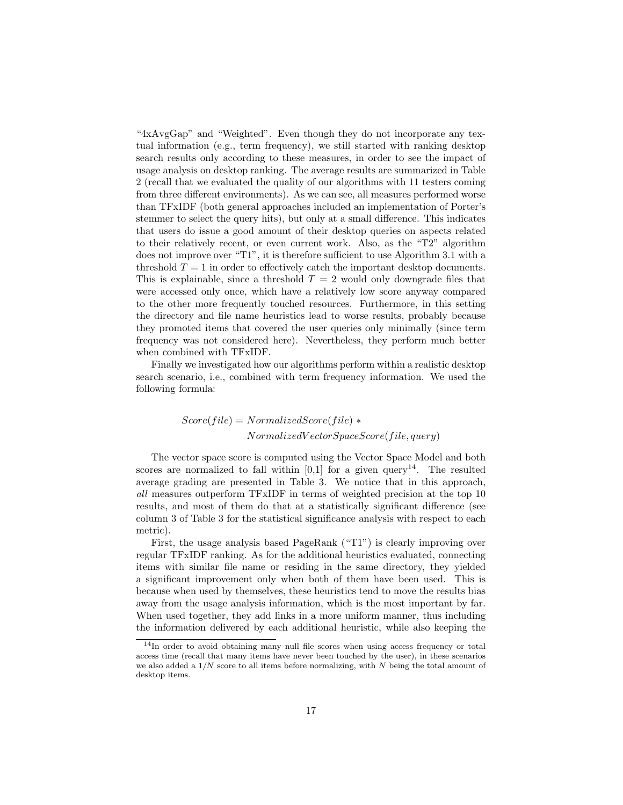"4xAvgGap" and "Weighted". Even though they do not incorporate any textual information (e.g., term frequency), we still started with ranking desktop search results only according to these measures, in order to see the impact of usage analysis on desktop ranking. The average results are summarized in Table 2 (recall that we evaluated the quality of our algorithms with 11 testers coming from three different environments). As we can see, all measures performed worse than TFxIDF (both general approaches included an implementation of Porter's stemmer to select the query hits), but only at a small difference. This indicates that users do issue a good amount of their desktop queries on aspects related to their relatively recent, or even current work. Also, as the "T2" algorithm does not improve over "T1", it is therefore sufficient to use Algorithm 3.1 with a threshold  $T = 1$  in order to effectively catch the important desktop documents. This is explainable, since a threshold  $T = 2$  would only downgrade files that were accessed only once, which have a relatively low score anyway compared to the other more frequently touched resources. Furthermore, in this setting the directory and file name heuristics lead to worse results, probably because they promoted items that covered the user queries only minimally (since term frequency was not considered here). Nevertheless, they perform much better when combined with TFxIDF.

Finally we investigated how our algorithms perform within a realistic desktop search scenario, i.e., combined with term frequency information. We used the following formula:

### $Score(file) = NormalizedScore(file)$  \*  $NormalizedVector Space Score (file, query)$

The vector space score is computed using the Vector Space Model and both scores are normalized to fall within  $[0,1]$  for a given query<sup>14</sup>. The resulted average grading are presented in Table 3. We notice that in this approach, all measures outperform TFxIDF in terms of weighted precision at the top 10 results, and most of them do that at a statistically significant difference (see column 3 of Table 3 for the statistical significance analysis with respect to each metric).

First, the usage analysis based PageRank ("T1") is clearly improving over regular TFxIDF ranking. As for the additional heuristics evaluated, connecting items with similar file name or residing in the same directory, they yielded a significant improvement only when both of them have been used. This is because when used by themselves, these heuristics tend to move the results bias away from the usage analysis information, which is the most important by far. When used together, they add links in a more uniform manner, thus including the information delivered by each additional heuristic, while also keeping the

<sup>14</sup>In order to avoid obtaining many null file scores when using access frequency or total access time (recall that many items have never been touched by the user), in these scenarios we also added a  $1/N$  score to all items before normalizing, with N being the total amount of desktop items.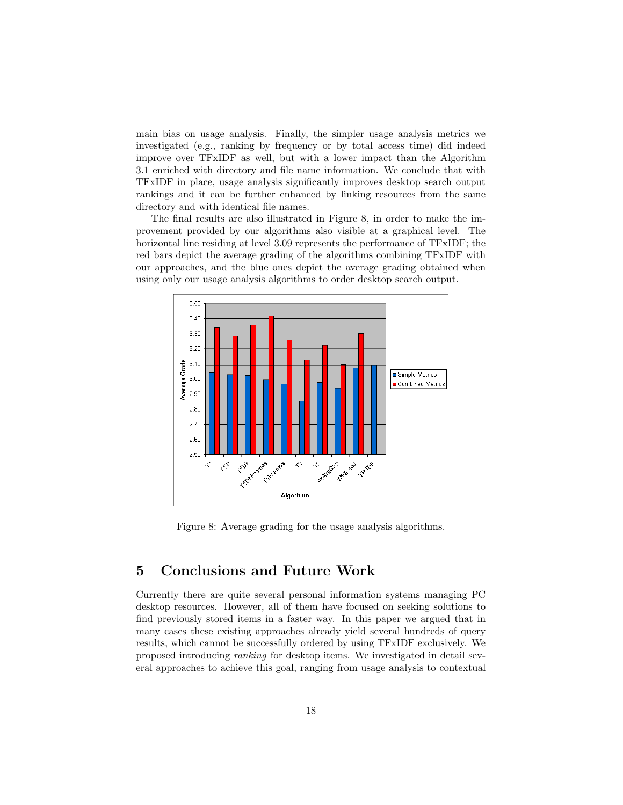main bias on usage analysis. Finally, the simpler usage analysis metrics we investigated (e.g., ranking by frequency or by total access time) did indeed improve over TFxIDF as well, but with a lower impact than the Algorithm 3.1 enriched with directory and file name information. We conclude that with TFxIDF in place, usage analysis significantly improves desktop search output rankings and it can be further enhanced by linking resources from the same directory and with identical file names.

The final results are also illustrated in Figure 8, in order to make the improvement provided by our algorithms also visible at a graphical level. The horizontal line residing at level 3.09 represents the performance of TFxIDF; the red bars depict the average grading of the algorithms combining TFxIDF with our approaches, and the blue ones depict the average grading obtained when using only our usage analysis algorithms to order desktop search output.



Figure 8: Average grading for the usage analysis algorithms.

### 5 Conclusions and Future Work

Currently there are quite several personal information systems managing PC desktop resources. However, all of them have focused on seeking solutions to find previously stored items in a faster way. In this paper we argued that in many cases these existing approaches already yield several hundreds of query results, which cannot be successfully ordered by using TFxIDF exclusively. We proposed introducing ranking for desktop items. We investigated in detail several approaches to achieve this goal, ranging from usage analysis to contextual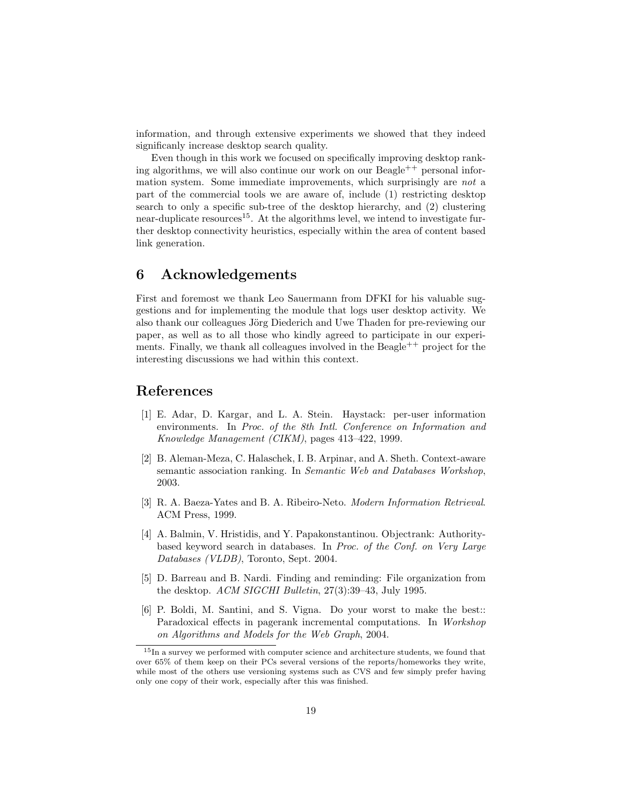information, and through extensive experiments we showed that they indeed significanly increase desktop search quality.

Even though in this work we focused on specifically improving desktop ranking algorithms, we will also continue our work on our  $Beagle^{++}$  personal information system. Some immediate improvements, which surprisingly are not a part of the commercial tools we are aware of, include (1) restricting desktop search to only a specific sub-tree of the desktop hierarchy, and (2) clustering near-duplicate resources<sup>15</sup>. At the algorithms level, we intend to investigate further desktop connectivity heuristics, especially within the area of content based link generation.

### 6 Acknowledgements

First and foremost we thank Leo Sauermann from DFKI for his valuable suggestions and for implementing the module that logs user desktop activity. We also thank our colleagues Jörg Diederich and Uwe Thaden for pre-reviewing our paper, as well as to all those who kindly agreed to participate in our experiments. Finally, we thank all colleagues involved in the Beagle<sup> $++$ </sup> project for the interesting discussions we had within this context.

## References

- [1] E. Adar, D. Kargar, and L. A. Stein. Haystack: per-user information environments. In Proc. of the 8th Intl. Conference on Information and Knowledge Management (CIKM), pages 413–422, 1999.
- [2] B. Aleman-Meza, C. Halaschek, I. B. Arpinar, and A. Sheth. Context-aware semantic association ranking. In Semantic Web and Databases Workshop, 2003.
- [3] R. A. Baeza-Yates and B. A. Ribeiro-Neto. Modern Information Retrieval. ACM Press, 1999.
- [4] A. Balmin, V. Hristidis, and Y. Papakonstantinou. Objectrank: Authoritybased keyword search in databases. In Proc. of the Conf. on Very Large Databases (VLDB), Toronto, Sept. 2004.
- [5] D. Barreau and B. Nardi. Finding and reminding: File organization from the desktop. ACM SIGCHI Bulletin, 27(3):39–43, July 1995.
- [6] P. Boldi, M. Santini, and S. Vigna. Do your worst to make the best:: Paradoxical effects in pagerank incremental computations. In Workshop on Algorithms and Models for the Web Graph, 2004.

<sup>&</sup>lt;sup>15</sup>In a survey we performed with computer science and architecture students, we found that over 65% of them keep on their PCs several versions of the reports/homeworks they write, while most of the others use versioning systems such as CVS and few simply prefer having only one copy of their work, especially after this was finished.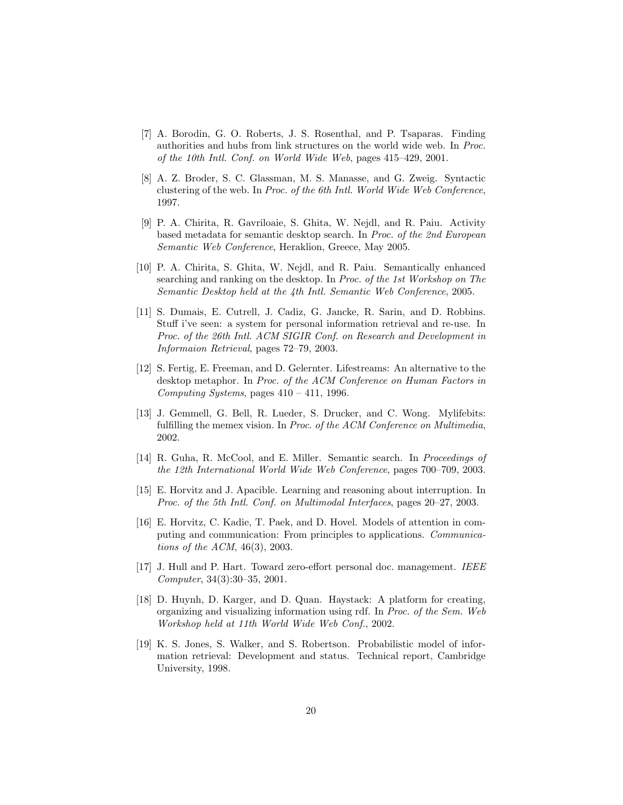- [7] A. Borodin, G. O. Roberts, J. S. Rosenthal, and P. Tsaparas. Finding authorities and hubs from link structures on the world wide web. In Proc. of the 10th Intl. Conf. on World Wide Web, pages 415–429, 2001.
- [8] A. Z. Broder, S. C. Glassman, M. S. Manasse, and G. Zweig. Syntactic clustering of the web. In Proc. of the 6th Intl. World Wide Web Conference, 1997.
- [9] P. A. Chirita, R. Gavriloaie, S. Ghita, W. Nejdl, and R. Paiu. Activity based metadata for semantic desktop search. In Proc. of the 2nd European Semantic Web Conference, Heraklion, Greece, May 2005.
- [10] P. A. Chirita, S. Ghita, W. Nejdl, and R. Paiu. Semantically enhanced searching and ranking on the desktop. In Proc. of the 1st Workshop on The Semantic Desktop held at the 4th Intl. Semantic Web Conference, 2005.
- [11] S. Dumais, E. Cutrell, J. Cadiz, G. Jancke, R. Sarin, and D. Robbins. Stuff i've seen: a system for personal information retrieval and re-use. In Proc. of the 26th Intl. ACM SIGIR Conf. on Research and Development in Informaion Retrieval, pages 72–79, 2003.
- [12] S. Fertig, E. Freeman, and D. Gelernter. Lifestreams: An alternative to the desktop metaphor. In Proc. of the ACM Conference on Human Factors in Computing Systems, pages  $410 - 411$ , 1996.
- [13] J. Gemmell, G. Bell, R. Lueder, S. Drucker, and C. Wong. Mylifebits: fulfilling the memex vision. In Proc. of the ACM Conference on Multimedia, 2002.
- [14] R. Guha, R. McCool, and E. Miller. Semantic search. In Proceedings of the 12th International World Wide Web Conference, pages 700–709, 2003.
- [15] E. Horvitz and J. Apacible. Learning and reasoning about interruption. In Proc. of the 5th Intl. Conf. on Multimodal Interfaces, pages 20–27, 2003.
- [16] E. Horvitz, C. Kadie, T. Paek, and D. Hovel. Models of attention in computing and communication: From principles to applications. Communications of the ACM, 46(3), 2003.
- [17] J. Hull and P. Hart. Toward zero-effort personal doc. management. IEEE Computer, 34(3):30–35, 2001.
- [18] D. Huynh, D. Karger, and D. Quan. Haystack: A platform for creating, organizing and visualizing information using rdf. In Proc. of the Sem. Web Workshop held at 11th World Wide Web Conf., 2002.
- [19] K. S. Jones, S. Walker, and S. Robertson. Probabilistic model of information retrieval: Development and status. Technical report, Cambridge University, 1998.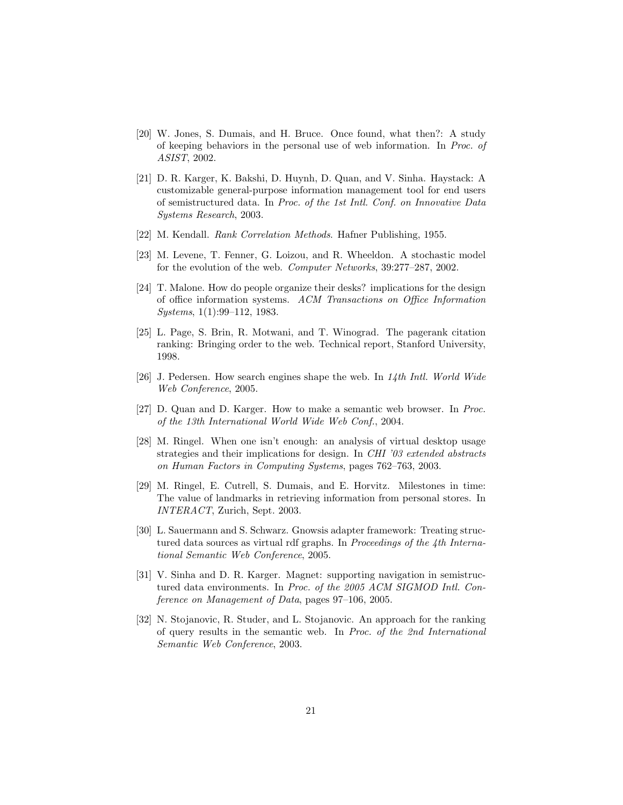- [20] W. Jones, S. Dumais, and H. Bruce. Once found, what then?: A study of keeping behaviors in the personal use of web information. In Proc. of ASIST, 2002.
- [21] D. R. Karger, K. Bakshi, D. Huynh, D. Quan, and V. Sinha. Haystack: A customizable general-purpose information management tool for end users of semistructured data. In Proc. of the 1st Intl. Conf. on Innovative Data Systems Research, 2003.
- [22] M. Kendall. Rank Correlation Methods. Hafner Publishing, 1955.
- [23] M. Levene, T. Fenner, G. Loizou, and R. Wheeldon. A stochastic model for the evolution of the web. Computer Networks, 39:277–287, 2002.
- [24] T. Malone. How do people organize their desks? implications for the design of office information systems. ACM Transactions on Office Information Systems, 1(1):99–112, 1983.
- [25] L. Page, S. Brin, R. Motwani, and T. Winograd. The pagerank citation ranking: Bringing order to the web. Technical report, Stanford University, 1998.
- [26] J. Pedersen. How search engines shape the web. In  $14th$  Intl. World Wide Web Conference, 2005.
- [27] D. Quan and D. Karger. How to make a semantic web browser. In Proc. of the 13th International World Wide Web Conf., 2004.
- [28] M. Ringel. When one isn't enough: an analysis of virtual desktop usage strategies and their implications for design. In CHI '03 extended abstracts on Human Factors in Computing Systems, pages 762–763, 2003.
- [29] M. Ringel, E. Cutrell, S. Dumais, and E. Horvitz. Milestones in time: The value of landmarks in retrieving information from personal stores. In INTERACT, Zurich, Sept. 2003.
- [30] L. Sauermann and S. Schwarz. Gnowsis adapter framework: Treating structured data sources as virtual rdf graphs. In Proceedings of the 4th International Semantic Web Conference, 2005.
- [31] V. Sinha and D. R. Karger. Magnet: supporting navigation in semistructured data environments. In Proc. of the 2005 ACM SIGMOD Intl. Conference on Management of Data, pages 97–106, 2005.
- [32] N. Stojanovic, R. Studer, and L. Stojanovic. An approach for the ranking of query results in the semantic web. In Proc. of the 2nd International Semantic Web Conference, 2003.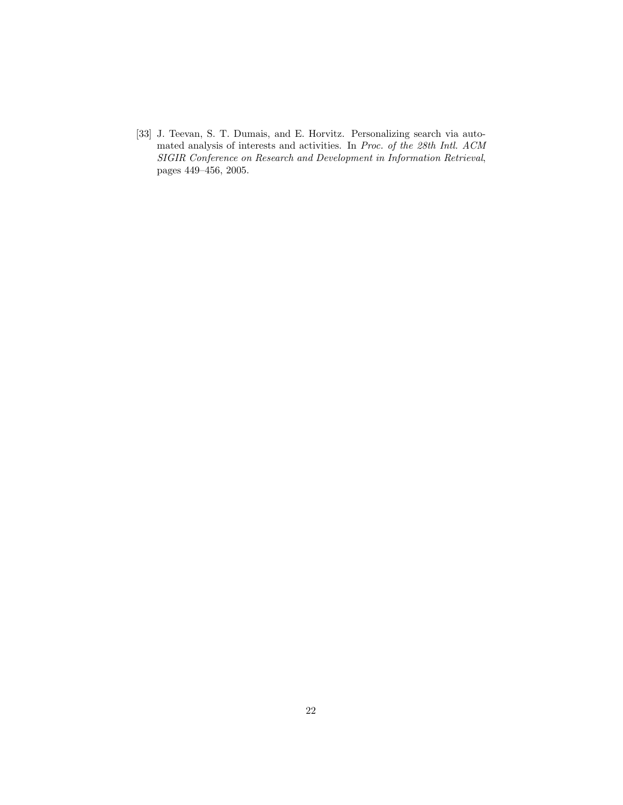[33] J. Teevan, S. T. Dumais, and E. Horvitz. Personalizing search via automated analysis of interests and activities. In Proc. of the 28th Intl. ACM SIGIR Conference on Research and Development in Information Retrieval, pages 449–456, 2005.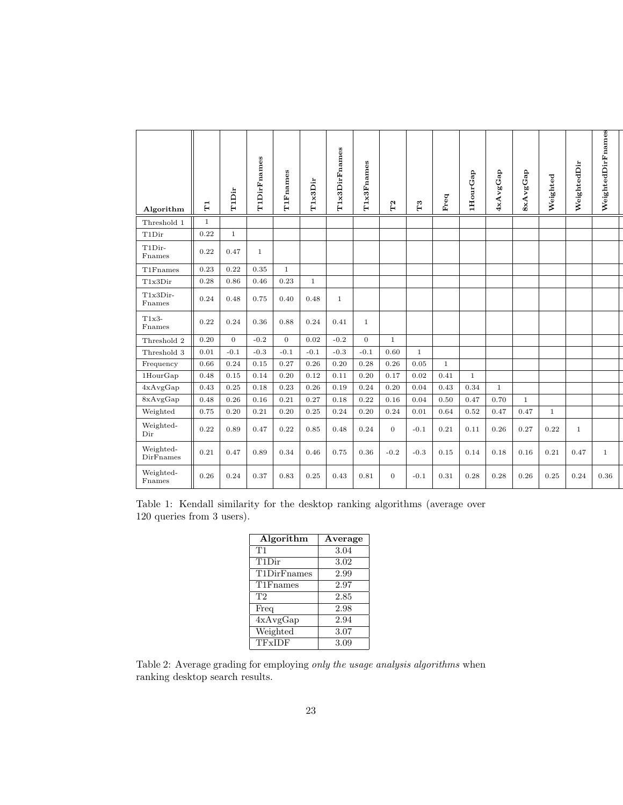| Algorithm              | $\vec{F}$    | TIDir          | T1DirFnames  | T1Fnames       | T1x3Dir      | T1x3DirFnames | $T1x3F$ names  | $\tilde{\Gamma}^2$ | $\mathbb{R}^3$ | Freq         | 1HourGap     | 4xAvgGap     | <b>SxAvgGap</b> | Weighted     | WeightedDir  | WeightedDirFnames |
|------------------------|--------------|----------------|--------------|----------------|--------------|---------------|----------------|--------------------|----------------|--------------|--------------|--------------|-----------------|--------------|--------------|-------------------|
| Threshold 1            | $\mathbf{1}$ |                |              |                |              |               |                |                    |                |              |              |              |                 |              |              |                   |
| T1Dir                  | 0.22         | $\mathbf{1}$   |              |                |              |               |                |                    |                |              |              |              |                 |              |              |                   |
| T1Dir-<br>Fnames       | 0.22         | 0.47           | $\mathbf{1}$ |                |              |               |                |                    |                |              |              |              |                 |              |              |                   |
| T1Fnames               | 0.23         | 0.22           | 0.35         | $\mathbf{1}$   |              |               |                |                    |                |              |              |              |                 |              |              |                   |
| T1x3Dir                | 0.28         | 0.86           | 0.46         | 0.23           | $\mathbf{1}$ |               |                |                    |                |              |              |              |                 |              |              |                   |
| T1x3Dir-<br>Fnames     | 0.24         | 0.48           | 0.75         | 0.40           | 0.48         | $\mathbf{1}$  |                |                    |                |              |              |              |                 |              |              |                   |
| $T1x3-$<br>Fnames      | 0.22         | 0.24           | 0.36         | 0.88           | 0.24         | 0.41          | $\mathbf{1}$   |                    |                |              |              |              |                 |              |              |                   |
| Threshold 2            | 0.20         | $\overline{0}$ | $-0.2$       | $\overline{0}$ | 0.02         | $-0.2$        | $\overline{0}$ | $\mathbf{1}$       |                |              |              |              |                 |              |              |                   |
| Threshold 3            | 0.01         | $-0.1$         | $-0.3$       | $-0.1$         | $-0.1$       | $-0.3$        | $-0.1$         | 0.60               | $\mathbf{1}$   |              |              |              |                 |              |              |                   |
| Frequency              | 0.66         | 0.24           | 0.15         | 0.27           | 0.26         | 0.20          | 0.28           | 0.26               | 0.05           | $\mathbf{1}$ |              |              |                 |              |              |                   |
| $1$ Hour $Gap$         | 0.48         | 0.15           | 0.14         | 0.20           | 0.12         | 0.11          | 0.20           | 0.17               | 0.02           | 0.41         | $\mathbf{1}$ |              |                 |              |              |                   |
| 4xAvgGap               | 0.43         | 0.25           | 0.18         | 0.23           | 0.26         | 0.19          | 0.24           | 0.20               | 0.04           | 0.43         | 0.34         | $\mathbf{1}$ |                 |              |              |                   |
| 8xAvgGap               | 0.48         | 0.26           | 0.16         | 0.21           | 0.27         | 0.18          | 0.22           | 0.16               | 0.04           | 0.50         | 0.47         | 0.70         | $\mathbf{1}$    |              |              |                   |
| Weighted               | 0.75         | 0.20           | 0.21         | 0.20           | 0.25         | 0.24          | 0.20           | 0.24               | 0.01           | 0.64         | 0.52         | 0.47         | 0.47            | $\mathbf{1}$ |              |                   |
| Weighted-<br>Dir       | 0.22         | 0.89           | 0.47         | 0.22           | 0.85         | 0.48          | 0.24           | $\overline{0}$     | $-0.1$         | 0.21         | 0.11         | 0.26         | 0.27            | 0.22         | $\mathbf{1}$ |                   |
| Weighted-<br>DirFnames | 0.21         | 0.47           | 0.89         | 0.34           | 0.46         | 0.75          | 0.36           | $-0.2$             | $-0.3$         | 0.15         | 0.14         | 0.18         | 0.16            | 0.21         | 0.47         | $\mathbf{1}$      |
| Weighted-<br>Fnames    | 0.26         | 0.24           | 0.37         | 0.83           | 0.25         | 0.43          | 0.81           | $\overline{0}$     | $-0.1$         | 0.31         | 0.28         | 0.28         | 0.26            | 0.25         | 0.24         | 0.36              |

Table 1: Kendall similarity for the desktop ranking algorithms (average over 120 queries from 3 users).

| Algorithm      | Average |
|----------------|---------|
| T1             | 3.04    |
| T1Dir          | 3.02    |
| T1DirFnames    | 2.99    |
| T1Fnames       | 2.97    |
| T <sub>2</sub> | 2.85    |
| Freq           | 2.98    |
| 4xAvgGap       | 2.94    |
| Weighted       | 3.07    |
| <b>TFxIDF</b>  | 3.09    |

Table 2: Average grading for employing only the usage analysis algorithms when ranking desktop search results.